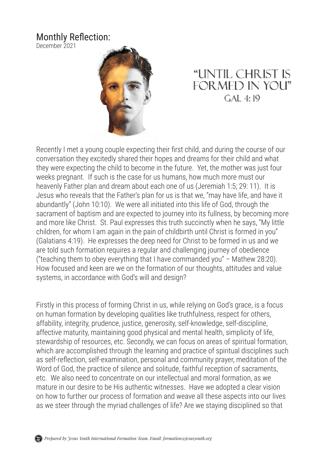## Monthly Reflection:

December 2021



## "UNTIL CHRIST IS **FORMED IN YOU"**  $GAI.4:19$

Recently I met a young couple expecting their first child, and during the course of our conversation they excitedly shared their hopes and dreams for their child and what they were expecting the child to become in the future. Yet, the mother was just four weeks pregnant. If such is the case for us humans, how much more must our heavenly Father plan and dream about each one of us (Jeremiah 1:5; 29: 11). It is Jesus who reveals that the Father's plan for us is that we, "may have life, and have it abundantly" (John 10:10). We were all initiated into this life of God, through the sacrament of baptism and are expected to journey into its fullness, by becoming more and more like Christ. St. Paul expresses this truth succinctly when he says, "My little children, for whom I am again in the pain of childbirth until Christ is formed in you" (Galatians 4:19). He expresses the deep need for Christ to be formed in us and we are told such formation requires a regular and challenging journey of obedience ("teaching them to obey everything that I have commanded you" – Mathew 28:20). How focused and keen are we on the formation of our thoughts, attitudes and value systems, in accordance with God's will and design?

Firstly in this process of forming Christ in us, while relying on God's grace, is a focus on human formation by developing qualities like truthfulness, respect for others, affability, integrity, prudence, justice, generosity, self-knowledge, self-discipline, affective maturity, maintaining good physical and mental health, simplicity of life, stewardship of resources, etc. Secondly, we can focus on areas of spiritual formation, which are accomplished through the learning and practice of spiritual disciplines such as self-reflection, self-examination, personal and community prayer, meditation of the Word of God, the practice of silence and solitude, faithful reception of sacraments, etc. We also need to concentrate on our intellectual and moral formation, as we mature in our desire to be His authentic witnesses. Have we adopted a clear vision on how to further our process of formation and weave all these aspects into our lives as we steer through the myriad challenges of life? Are we staying disciplined so that